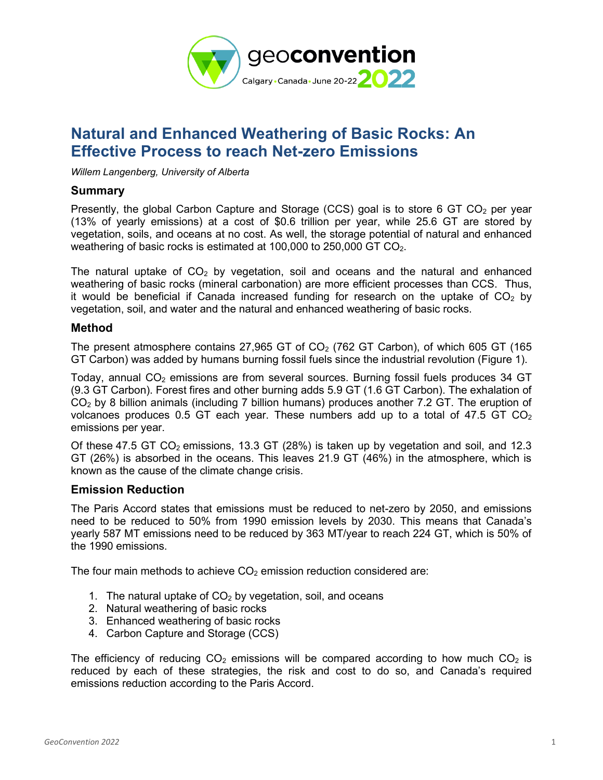

# **Natural and Enhanced Weathering of Basic Rocks: An Effective Process to reach Net-zero Emissions**

*Willem Langenberg, University of Alberta*

### **Summary**

Presently, the global Carbon Capture and Storage (CCS) goal is to store 6 GT CO<sub>2</sub> per year (13% of yearly emissions) at a cost of \$0.6 trillion per year, while 25.6 GT are stored by vegetation, soils, and oceans at no cost. As well, the storage potential of natural and enhanced weathering of basic rocks is estimated at 100,000 to 250,000 GT CO<sub>2</sub>.

The natural uptake of  $CO<sub>2</sub>$  by vegetation, soil and oceans and the natural and enhanced weathering of basic rocks (mineral carbonation) are more efficient processes than CCS. Thus, it would be beneficial if Canada increased funding for research on the uptake of  $CO<sub>2</sub>$  by vegetation, soil, and water and the natural and enhanced weathering of basic rocks.

### **Method**

The present atmosphere contains 27,965 GT of  $CO<sub>2</sub>$  (762 GT Carbon), of which 605 GT (165 GT Carbon) was added by humans burning fossil fuels since the industrial revolution (Figure 1).

Today, annual  $CO<sub>2</sub>$  emissions are from several sources. Burning fossil fuels produces 34 GT (9.3 GT Carbon). Forest fires and other burning adds 5.9 GT (1.6 GT Carbon). The exhalation of CO<sup>2</sup> by 8 billion animals (including 7 billion humans) produces another 7.2 GT. The eruption of volcanoes produces 0.5 GT each year. These numbers add up to a total of 47.5 GT  $CO<sub>2</sub>$ emissions per year.

Of these 47.5 GT  $CO<sub>2</sub>$  emissions, 13.3 GT (28%) is taken up by vegetation and soil, and 12.3 GT (26%) is absorbed in the oceans. This leaves 21.9 GT (46%) in the atmosphere, which is known as the cause of the climate change crisis.

# **Emission Reduction**

The Paris Accord states that emissions must be reduced to net-zero by 2050, and emissions need to be reduced to 50% from 1990 emission levels by 2030. This means that Canada's yearly 587 MT emissions need to be reduced by 363 MT/year to reach 224 GT, which is 50% of the 1990 emissions.

The four main methods to achieve  $CO<sub>2</sub>$  emission reduction considered are:

- 1. The natural uptake of  $CO<sub>2</sub>$  by vegetation, soil, and oceans
- 2. Natural weathering of basic rocks
- 3. Enhanced weathering of basic rocks
- 4. Carbon Capture and Storage (CCS)

The efficiency of reducing  $CO<sub>2</sub>$  emissions will be compared according to how much  $CO<sub>2</sub>$  is reduced by each of these strategies, the risk and cost to do so, and Canada's required emissions reduction according to the Paris Accord.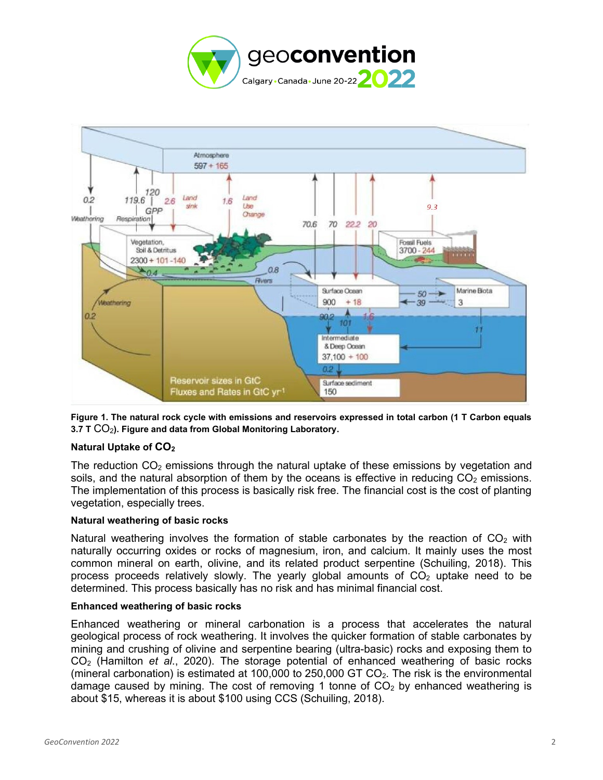



**Figure 1. The natural rock cycle with emissions and reservoirs expressed in total carbon (1 T Carbon equals 3.7 T CO<sub>2</sub>). Figure and data from Global Monitoring Laboratory.** 

#### **Natural Uptake of CO<sup>2</sup>**

The reduction  $CO<sub>2</sub>$  emissions through the natural uptake of these emissions by vegetation and soils, and the natural absorption of them by the oceans is effective in reducing  $CO<sub>2</sub>$  emissions. The implementation of this process is basically risk free. The financial cost is the cost of planting vegetation, especially trees.

#### **Natural weathering of basic rocks**

Natural weathering involves the formation of stable carbonates by the reaction of  $CO<sub>2</sub>$  with naturally occurring oxides or rocks of magnesium, iron, and calcium. It mainly uses the most common mineral on earth, olivine, and its related product serpentine (Schuiling, 2018). This process proceeds relatively slowly. The yearly global amounts of  $CO<sub>2</sub>$  uptake need to be determined. This process basically has no risk and has minimal financial cost.

#### **Enhanced weathering of basic rocks**

Enhanced weathering or mineral carbonation is a process that accelerates the natural geological process of rock weathering. It involves the quicker formation of stable carbonates by mining and crushing of olivine and serpentine bearing (ultra-basic) rocks and exposing them to CO<sup>2</sup> (Hamilton *et al*., 2020). The storage potential of enhanced weathering of basic rocks (mineral carbonation) is estimated at 100,000 to 250,000 GT  $CO<sub>2</sub>$ . The risk is the environmental damage caused by mining. The cost of removing 1 tonne of  $CO<sub>2</sub>$  by enhanced weathering is about \$15, whereas it is about \$100 using CCS (Schuiling, 2018).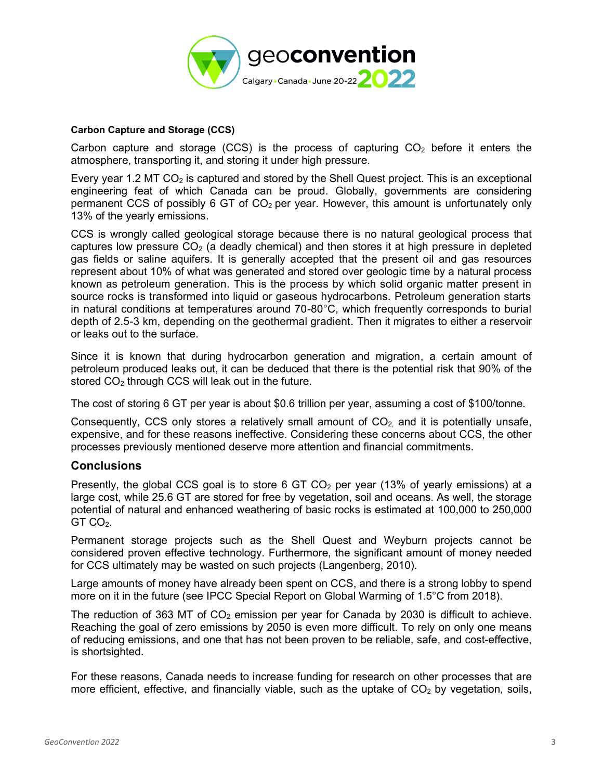![](_page_2_Picture_0.jpeg)

#### **Carbon Capture and Storage (CCS)**

Carbon capture and storage (CCS) is the process of capturing  $CO<sub>2</sub>$  before it enters the atmosphere, transporting it, and storing it under high pressure.

Every year 1.2 MT  $CO<sub>2</sub>$  is captured and stored by the Shell Quest project. This is an exceptional engineering feat of which Canada can be proud. Globally, governments are considering permanent CCS of possibly 6 GT of  $CO<sub>2</sub>$  per year. However, this amount is unfortunately only 13% of the yearly emissions.

CCS is wrongly called geological storage because there is no natural geological process that captures low pressure  $CO<sub>2</sub>$  (a deadly chemical) and then stores it at high pressure in depleted gas fields or saline aquifers. It is generally accepted that the present oil and gas resources represent about 10% of what was generated and stored over geologic time by a natural process known as petroleum generation. This is the process by which solid organic matter present in source rocks is transformed into liquid or gaseous hydrocarbons. Petroleum generation starts in natural conditions at temperatures around 70-80°C, which frequently corresponds to burial depth of 2.5-3 km, depending on the geothermal gradient. Then it migrates to either a reservoir or leaks out to the surface.

Since it is known that during hydrocarbon generation and migration, a certain amount of petroleum produced leaks out, it can be deduced that there is the potential risk that 90% of the stored CO<sub>2</sub> through CCS will leak out in the future.

The cost of storing 6 GT per year is about \$0.6 trillion per year, assuming a cost of \$100/tonne.

Consequently, CCS only stores a relatively small amount of  $CO<sub>2</sub>$  and it is potentially unsafe, expensive, and for these reasons ineffective. Considering these concerns about CCS, the other processes previously mentioned deserve more attention and financial commitments.

# **Conclusions**

Presently, the global CCS goal is to store 6 GT CO<sub>2</sub> per year (13% of yearly emissions) at a large cost, while 25.6 GT are stored for free by vegetation, soil and oceans. As well, the storage potential of natural and enhanced weathering of basic rocks is estimated at 100,000 to 250,000  $GT CO<sub>2</sub>$ .

Permanent storage projects such as the Shell Quest and Weyburn projects cannot be considered proven effective technology. Furthermore, the significant amount of money needed for CCS ultimately may be wasted on such projects (Langenberg, 2010).

Large amounts of money have already been spent on CCS, and there is a strong lobby to spend more on it in the future (see IPCC Special Report on Global Warming of 1.5°C from 2018).

The reduction of 363 MT of  $CO<sub>2</sub>$  emission per year for Canada by 2030 is difficult to achieve. Reaching the goal of zero emissions by 2050 is even more difficult. To rely on only one means of reducing emissions, and one that has not been proven to be reliable, safe, and cost-effective, is shortsighted.

For these reasons, Canada needs to increase funding for research on other processes that are more efficient, effective, and financially viable, such as the uptake of  $CO<sub>2</sub>$  by vegetation, soils,